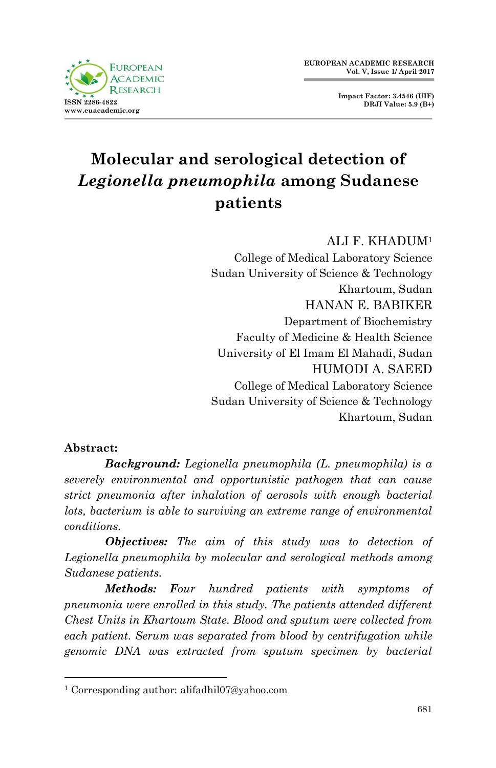**Impact Factor: 3.4546 (UIF) DRJI Value: 5.9 (B+)**



# **Molecular and serological detection of**  *Legionella pneumophila* **among Sudanese patients**

ALI F. KHADUM<sup>1</sup>

College of Medical Laboratory Science Sudan University of Science & Technology Khartoum, Sudan HANAN E. BABIKER Department of Biochemistry Faculty of Medicine & Health Science University of El Imam El Mahadi, Sudan HUMODI A. SAEED College of Medical Laboratory Science Sudan University of Science & Technology Khartoum, Sudan

#### **Abstract:**

1

*Background: Legionella pneumophila (L. pneumophila) is a severely environmental and opportunistic pathogen that can cause strict pneumonia after inhalation of aerosols with enough bacterial lots, bacterium is able to surviving an extreme range of environmental conditions.*

*Objectives: The aim of this study was to detection of Legionella pneumophila by molecular and serological methods among Sudanese patients.* 

*Methods: Four hundred patients with symptoms of pneumonia were enrolled in this study. The patients attended different Chest Units in Khartoum State. Blood and sputum were collected from each patient. Serum was separated from blood by centrifugation while genomic DNA was extracted from sputum specimen by bacterial* 

<sup>1</sup> Corresponding author: alifadhil07@yahoo.com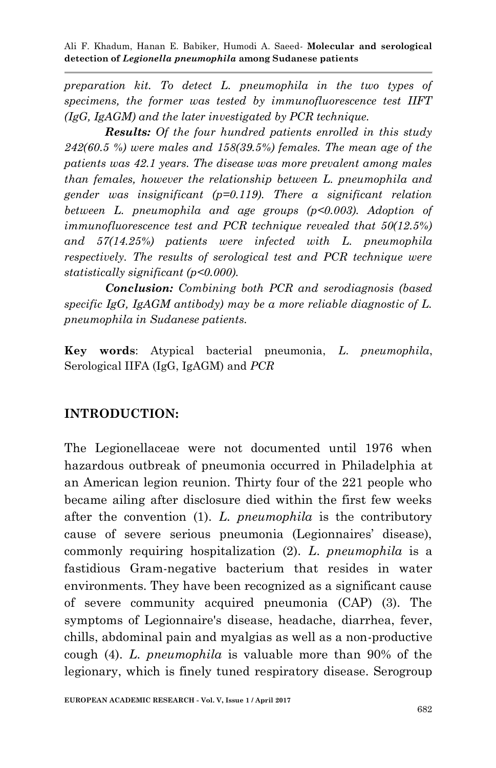*preparation kit. To detect L. pneumophila in the two types of specimens, the former was tested by immunofluorescence test IIFT (IgG, IgAGM) and the later investigated by PCR technique.*

*Results: Of the four hundred patients enrolled in this study 242(60.5 %) were males and 158(39.5%) females. The mean age of the patients was 42.1 years. The disease was more prevalent among males than females, however the relationship between L. pneumophila and gender was insignificant (p=0.119). There a significant relation between L. pneumophila and age groups (p<0.003). Adoption of immunofluorescence test and PCR technique revealed that 50(12.5%) and 57(14.25%) patients were infected with L. pneumophila respectively. The results of serological test and PCR technique were statistically significant (p<0.000).*

*Conclusion: Combining both PCR and serodiagnosis (based specific IgG, IgAGM antibody) may be a more reliable diagnostic of L. pneumophila in Sudanese patients.*

**Key words**: Atypical bacterial pneumonia, *L*. *pneumophila*, Serological IIFA (IgG, IgAGM) and *PCR*

#### **INTRODUCTION:**

The Legionellaceae were not documented until 1976 when hazardous outbreak of pneumonia occurred in Philadelphia at an American legion reunion. Thirty four of the 221 people who became ailing after disclosure died within the first few weeks after the convention (1). *L. pneumophila* is the contributory cause of severe serious pneumonia (Legionnaires' disease), commonly requiring hospitalization (2). *L*. *pneumophila* is a fastidious Gram-negative bacterium that resides in water environments. They have been recognized as a significant cause of severe community acquired pneumonia (CAP) (3). The symptoms of Legionnaire's disease, headache, diarrhea, fever, chills, abdominal pain and myalgias as well as a non-productive cough (4). *L. pneumophila* is valuable more than 90% of the legionary, which is finely tuned respiratory disease. Serogroup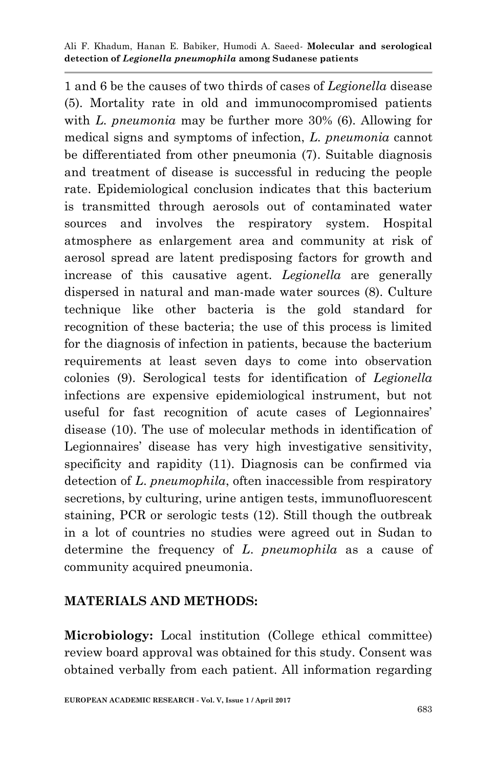1 and 6 be the causes of two thirds of cases of *Legionella* disease (5). Mortality rate in old and immunocompromised patients with *L. pneumonia* may be further more 30% (6). Allowing for medical signs and symptoms of infection, *L. pneumonia* cannot be differentiated from other pneumonia (7). Suitable diagnosis and treatment of disease is successful in reducing the people rate. Epidemiological conclusion indicates that this bacterium is transmitted through aerosols out of contaminated water sources and involves the respiratory system. Hospital atmosphere as enlargement area and community at risk of aerosol spread are latent predisposing factors for growth and increase of this causative agent. *Legionella* are generally dispersed in natural and man-made water sources (8). Culture technique like other bacteria is the gold standard for recognition of these bacteria; the use of this process is limited for the diagnosis of infection in patients, because the bacterium requirements at least seven days to come into observation colonies (9). Serological tests for identification of *Legionella*  infections are expensive epidemiological instrument, but not useful for fast recognition of acute cases of Legionnaires' disease (10). The use of molecular methods in identification of Legionnaires' disease has very high investigative sensitivity, specificity and rapidity (11). Diagnosis can be confirmed via detection of *L*. *pneumophila*, often inaccessible from respiratory secretions, by culturing, urine antigen tests, immunofluorescent staining, PCR or serologic tests (12). Still though the outbreak in a lot of countries no studies were agreed out in Sudan to determine the frequency of *L*. *pneumophila* as a cause of community acquired pneumonia.

## **MATERIALS AND METHODS:**

**Microbiology:** Local institution (College ethical committee) review board approval was obtained for this study. Consent was obtained verbally from each patient. All information regarding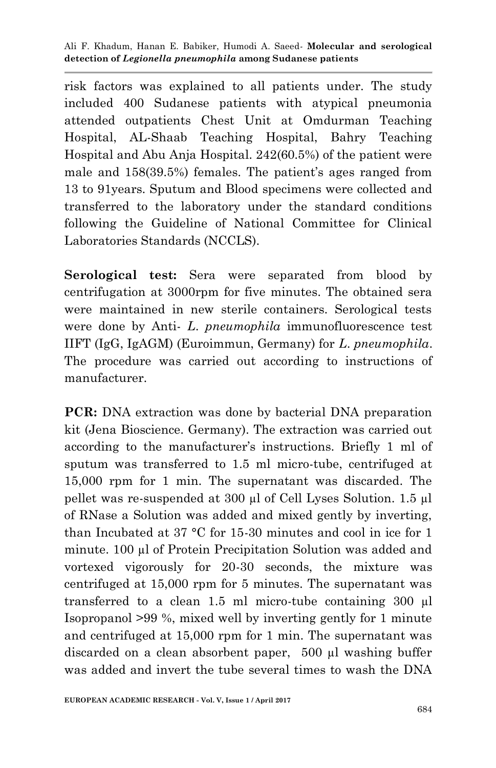risk factors was explained to all patients under. The study included 400 Sudanese patients with atypical pneumonia attended outpatients Chest Unit at Omdurman Teaching Hospital, AL-Shaab Teaching Hospital, Bahry Teaching Hospital and Abu Anja Hospital. 242(60.5%) of the patient were male and 158(39.5%) females. The patient's ages ranged from 13 to 91years. Sputum and Blood specimens were collected and transferred to the laboratory under the standard conditions following the Guideline of National Committee for Clinical Laboratories Standards (NCCLS).

**Serological test:** Sera were separated from blood by centrifugation at 3000rpm for five minutes. The obtained sera were maintained in new sterile containers. Serological tests were done by Anti- *L*. *pneumophila* immunofluorescence test IIFT (IgG, IgAGM) (Euroimmun, Germany) for *L*. *pneumophila*. The procedure was carried out according to instructions of manufacturer.

**PCR:** DNA extraction was done by bacterial DNA preparation kit (Jena Bioscience. Germany). The extraction was carried out according to the manufacturer's instructions. Briefly 1 ml of sputum was transferred to 1.5 ml micro-tube, centrifuged at 15,000 rpm for 1 min. The supernatant was discarded. The pellet was re-suspended at 300 µl of Cell Lyses Solution. 1.5 µl of RNase a Solution was added and mixed gently by inverting, than Incubated at 37 °C for 15-30 minutes and cool in ice for 1 minute. 100 µl of Protein Precipitation Solution was added and vortexed vigorously for 20-30 seconds, the mixture was centrifuged at 15,000 rpm for 5 minutes. The supernatant was transferred to a clean 1.5 ml micro-tube containing 300 µl Isopropanol >99 %, mixed well by inverting gently for 1 minute and centrifuged at 15,000 rpm for 1 min. The supernatant was discarded on a clean absorbent paper, 500 µl washing buffer was added and invert the tube several times to wash the DNA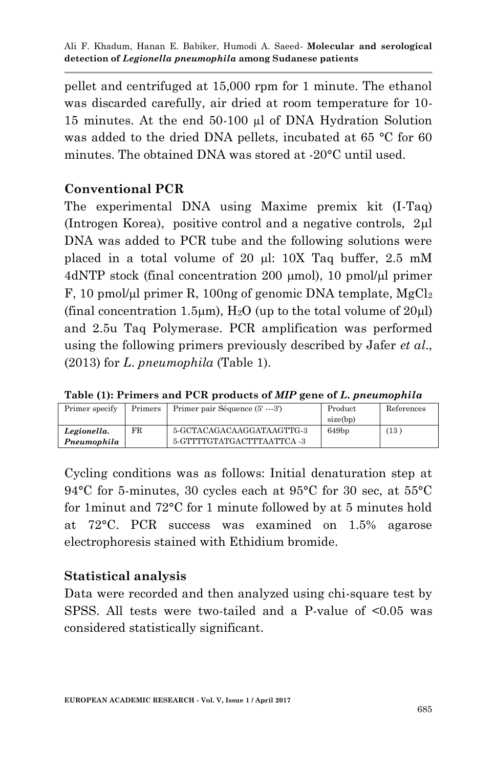pellet and centrifuged at 15,000 rpm for 1 minute. The ethanol was discarded carefully, air dried at room temperature for 10- 15 minutes. At the end 50-100 µl of DNA Hydration Solution was added to the dried DNA pellets, incubated at 65 °C for 60 minutes. The obtained DNA was stored at -20°C until used.

#### **Conventional PCR**

The experimental DNA using Maxime premix kit (I-Taq) (Introgen Korea), positive control and a negative controls,  $2\mu$ DNA was added to PCR tube and the following solutions were placed in a total volume of 20  $\mu$ l: 10X Taq buffer, 2.5 mM 4dNTP stock (final concentration 200 µmol), 10 pmol/µl primer F, 10 pmol/µl primer R, 100ng of genomic DNA template,  $MgCl<sub>2</sub>$ (final concentration 1.5 $\mu$ m), H<sub>2</sub>O (up to the total volume of 20 $\mu$ l) and 2.5u Taq Polymerase. PCR amplification was performed using the following primers previously described by Jafer *et al*., (2013) for *L*. *pneumophila* (Table 1).

| Primer specify             | Primers | Primer pair Séquence (5' ---3')                         | Product<br>size(bp) | References |
|----------------------------|---------|---------------------------------------------------------|---------------------|------------|
| Legionella.<br>Pneumophila | FR.     | 5-GCTACAGACAAGGATAAGTTG-3<br>5-GTTTTGTATGACTTTAATTCA -3 | 649bp               | (13)       |

**Table (1): Primers and PCR products of** *MIP* **gene of** *L***.** *pneumophila*

Cycling conditions was as follows: Initial denaturation step at 94°C for 5-minutes, 30 cycles each at 95°C for 30 sec, at 55°C for 1minut and 72°C for 1 minute followed by at 5 minutes hold at 72°C. PCR success was examined on 1.5% agarose electrophoresis stained with Ethidium bromide.

## **Statistical analysis**

Data were recorded and then analyzed using chi-square test by SPSS. All tests were two-tailed and a P-value of <0.05 was considered statistically significant.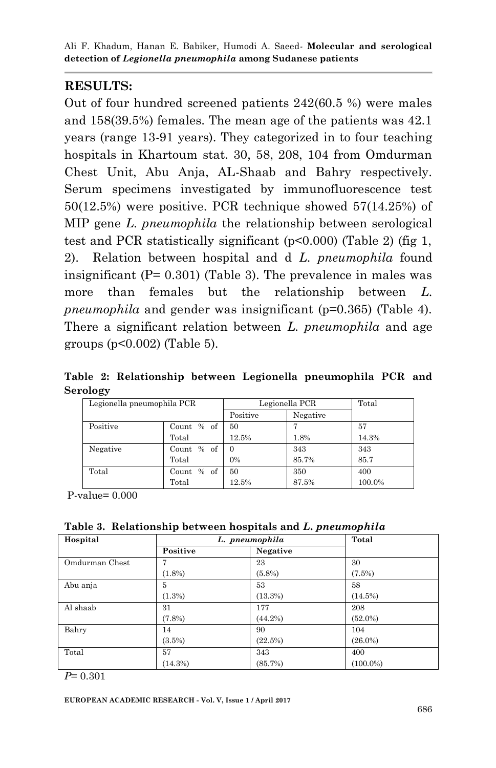#### **RESULTS:**

Out of four hundred screened patients 242(60.5 %) were males and 158(39.5%) females. The mean age of the patients was 42.1 years (range 13-91 years). They categorized in to four teaching hospitals in Khartoum stat. 30, 58, 208, 104 from Omdurman Chest Unit, Abu Anja, AL-Shaab and Bahry respectively. Serum specimens investigated by immunofluorescence test 50(12.5%) were positive. PCR technique showed 57(14.25%) of MIP gene *L. pneumophila* the relationship between serological test and PCR statistically significant (p<0.000) (Table 2) (fig 1, 2). Relation between hospital and d *L. pneumophila* found insignificant  $(P= 0.301)$  (Table 3). The prevalence in males was more than females but the relationship between *L. pneumophila* and gender was insignificant (p=0.365) (Table 4). There a significant relation between *L. pneumophila* and age groups (p<0.002) (Table 5).

**Table 2: Relationship between Legionella pneumophila PCR and Serology**

| Legionella pneumophila PCR |            | Legionella PCR |          | Total  |
|----------------------------|------------|----------------|----------|--------|
|                            |            | Positive       | Negative |        |
| Positive                   | Count % of | 50             |          | 57     |
|                            | Total      | 12.5%          | 1.8%     | 14.3%  |
| Negative                   | Count % of | $\Omega$       | 343      | 343    |
|                            | Total      | 0%             | 85.7%    | 85.7   |
| Total                      | Count % of | 50             | 350      | 400    |
|                            | Total      | 12.5%          | 87.5%    | 100.0% |

P-value= 0.000

**Table 3. Relationship between hospitals and** *L***.** *pneumophila*

| Hospital       | L. pneumophila |            | Total       |
|----------------|----------------|------------|-------------|
|                | Positive       | Negative   |             |
| Omdurman Chest |                | 23         | 30          |
|                | $(1.8\%)$      | $(5.8\%)$  | $(7.5\%)$   |
| Abu anja       | 5              | 53         | 58          |
|                | $(1.3\%)$      | (13.3%)    | (14.5%)     |
| Al shaab       | 31             | 177        | 208         |
|                | $(7.8\%)$      | $(44.2\%)$ | $(52.0\%)$  |
| Bahry          | 14             | 90         | 104         |
|                | $(3.5\%)$      | (22.5%)    | $(26.0\%)$  |
| Total          | 57             | 343        | 400         |
|                | (14.3%)        | (85.7%)    | $(100.0\%)$ |

*P*= 0.301

**EUROPEAN ACADEMIC RESEARCH - Vol. V, Issue 1 / April 2017**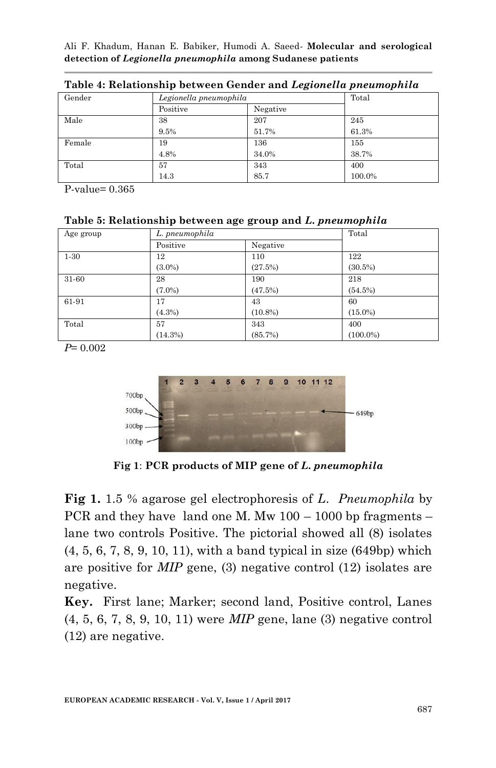| Gender | Legionella pneumophila |          | Total  |
|--------|------------------------|----------|--------|
|        | Positive               | Negative |        |
| Male   | 38                     | 207      | 245    |
|        | 9.5%                   | 51.7%    | 61.3%  |
| Female | 19                     | 136      | 155    |
|        | 4.8%                   | 34.0%    | 38.7%  |
| Total  | 57                     | 343      | 400    |
|        | 14.3                   | 85.7     | 100.0% |

**Table 4: Relationship between Gender and** *Legionella pneumophila*

P-value= 0.365

#### **Table 5: Relationship between age group and** *L***.** *pneumophila*

| Age group | L. pneumophila |            | Total       |
|-----------|----------------|------------|-------------|
|           | Positive       | Negative   |             |
| $1-30$    | 12             | 110        | 122         |
|           | $(3.0\%)$      | (27.5%)    | $(30.5\%)$  |
| 31-60     | 28             | 190        | 218         |
|           | $(7.0\%)$      | (47.5%)    | (54.5%)     |
| 61-91     | 17             | 43         | 60          |
|           | (4.3%)         | $(10.8\%)$ | $(15.0\%)$  |
| Total     | 57             | 343        | 400         |
|           | (14.3%)        | (85.7%)    | $(100.0\%)$ |

*P*= 0.002



**Fig 1**: **PCR products of MIP gene of** *L***.** *pneumophila*

**Fig 1.** 1.5 % agarose gel electrophoresis of *L*. *Pneumophila* by PCR and they have land one M. Mw 100 – 1000 bp fragments – lane two controls Positive. The pictorial showed all (8) isolates (4, 5, 6, 7, 8, 9, 10, 11), with a band typical in size (649bp) which are positive for *MIP* gene, (3) negative control (12) isolates are negative.

**Key.** First lane; Marker; second land, Positive control, Lanes (4, 5, 6, 7, 8, 9, 10, 11) were *MIP* gene, lane (3) negative control (12) are negative.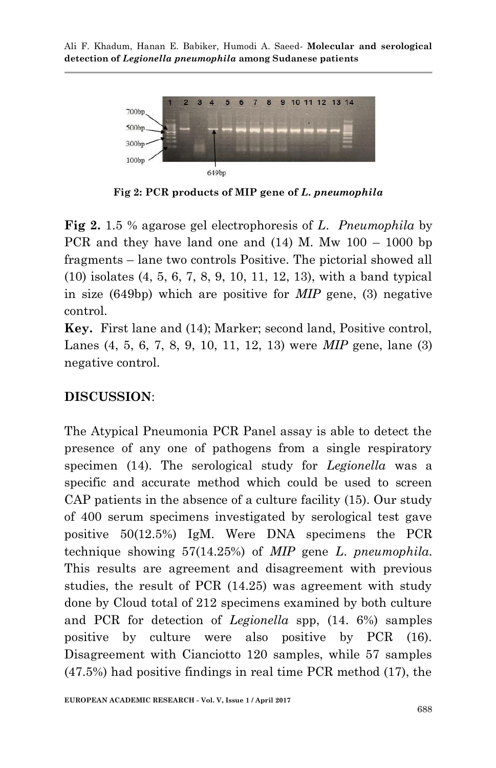

**Fig 2: PCR products of MIP gene of** *L***.** *pneumophila*

**Fig 2.** 1.5 % agarose gel electrophoresis of *L*. *Pneumophila* by PCR and they have land one and  $(14)$  M. Mw  $100 - 1000$  bp fragments – lane two controls Positive. The pictorial showed all (10) isolates (4, 5, 6, 7, 8, 9, 10, 11, 12, 13), with a band typical in size (649bp) which are positive for *MIP* gene, (3) negative control.

**Key.** First lane and (14); Marker; second land, Positive control, Lanes (4, 5, 6, 7, 8, 9, 10, 11, 12, 13) were *MIP* gene, lane (3) negative control.

## **DISCUSSION**:

The Atypical Pneumonia PCR Panel assay is able to detect the presence of any one of pathogens from a single respiratory specimen (14). The serological study for *Legionella* was a specific and accurate method which could be used to screen CAP patients in the absence of a culture facility (15). Our study of 400 serum specimens investigated by serological test gave positive 50(12.5%) IgM. Were DNA specimens the PCR technique showing 57(14.25%) of *MIP* gene *L*. *pneumophila.* This results are agreement and disagreement with previous studies, the result of PCR (14.25) was agreement with study done by Cloud total of 212 specimens examined by both culture and PCR for detection of *Legionella* spp, (14. 6%) samples positive by culture were also positive by PCR (16). Disagreement with Cianciotto 120 samples, while 57 samples (47.5%) had positive findings in real time PCR method (17), the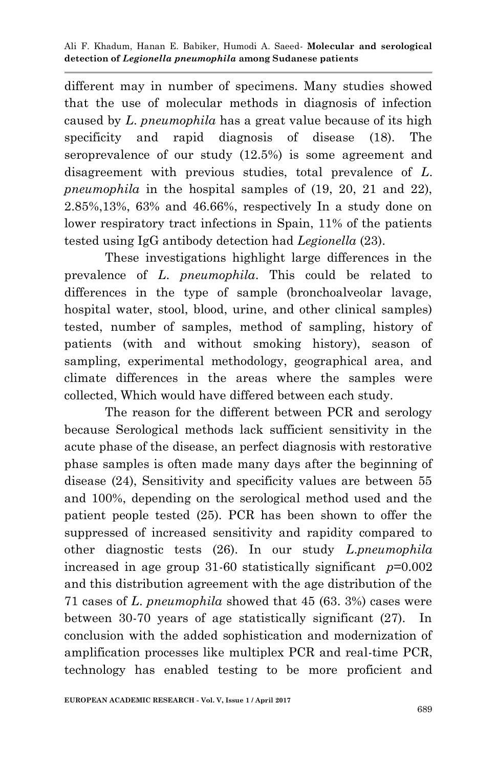different may in number of specimens. Many studies showed that the use of molecular methods in diagnosis of infection caused by *L*. *pneumophila* has a great value because of its high specificity and rapid diagnosis of disease (18). The seroprevalence of our study (12.5%) is some agreement and disagreement with previous studies, total prevalence of *L*. *pneumophila* in the hospital samples of (19, 20, 21 and 22), 2.85%,13%, 63% and 46.66%, respectively In a study done on lower respiratory tract infections in Spain, 11% of the patients tested using IgG antibody detection had *Legionella* (23).

These investigations highlight large differences in the prevalence of *L*. *pneumophila*. This could be related to differences in the type of sample (bronchoalveolar lavage, hospital water, stool, blood, urine, and other clinical samples) tested, number of samples, method of sampling, history of patients (with and without smoking history), season of sampling, experimental methodology, geographical area, and climate differences in the areas where the samples were collected, Which would have differed between each study.

The reason for the different between PCR and serology because Serological methods lack sufficient sensitivity in the acute phase of the disease, an perfect diagnosis with restorative phase samples is often made many days after the beginning of disease (24), Sensitivity and specificity values are between 55 and 100%, depending on the serological method used and the patient people tested (25). PCR has been shown to offer the suppressed of increased sensitivity and rapidity compared to other diagnostic tests (26). In our study *L*.*pneumophila* increased in age group 31-60 statistically significant *p*=0.002 and this distribution agreement with the age distribution of the 71 cases of *L*. *pneumophila* showed that 45 (63. 3%) cases were between 30-70 years of age statistically significant (27). In conclusion with the added sophistication and modernization of amplification processes like multiplex PCR and real-time PCR, technology has enabled testing to be more proficient and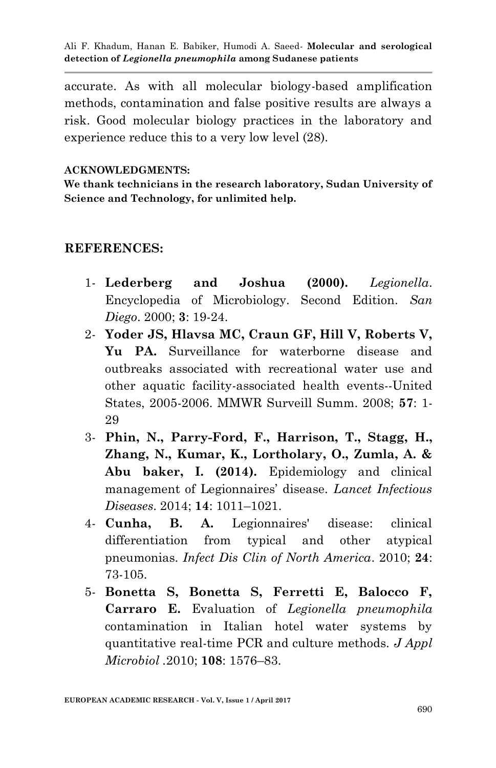accurate. As with all molecular biology-based amplification methods, contamination and false positive results are always a risk. Good molecular biology practices in the laboratory and experience reduce this to a very low level (28).

#### **ACKNOWLEDGMENTS:**

**We thank technicians in the research laboratory, Sudan University of Science and Technology, for unlimited help.**

#### **REFERENCES:**

- 1- **Lederberg and Joshua (2000).** *Legionella*. Encyclopedia of Microbiology. Second Edition. *San Diego*. 2000; **3**: 19-24.
- 2- **Yoder JS, Hlavsa MC, Craun GF, Hill V, Roberts V, Yu PA.** Surveillance for waterborne disease and outbreaks associated with recreational water use and other aquatic facility-associated health events--United States, 2005-2006. MMWR Surveill Summ. 2008; **57**: 1- 29
- 3- **Phin, N., Parry-Ford, F., Harrison, T., Stagg, H., Zhang, N., Kumar, K., Lortholary, O., Zumla, A. & Abu baker, I. (2014).** Epidemiology and clinical management of Legionnaires' disease. *Lancet Infectious Diseases*. 2014; **14**: 1011–1021.
- 4- **Cunha, B. A.** Legionnaires' disease: clinical differentiation from typical and other atypical pneumonias. *Infect Dis Clin of North America*. 2010; **24**: 73-105.
- 5- **Bonetta S, Bonetta S, Ferretti E, Balocco F, Carraro E.** Evaluation of *Legionella pneumophila* contamination in Italian hotel water systems by quantitative real-time PCR and culture methods. *J Appl Microbiol .*2010; **108**: 1576–83.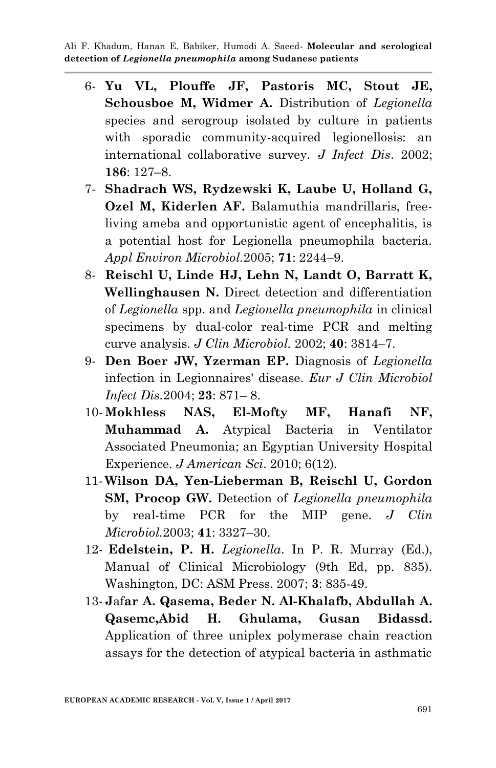- 6- **Yu VL, Plouffe JF, Pastoris MC, Stout JE, Schousboe M, Widmer A.** Distribution of *Legionella* species and serogroup isolated by culture in patients with sporadic community-acquired legionellosis: an international collaborative survey. *J Infect Dis*. 2002; **186**: 127–8.
- 7- **Shadrach WS, Rydzewski K, Laube U, Holland G, Ozel M, Kiderlen AF.** Balamuthia mandrillaris, freeliving ameba and opportunistic agent of encephalitis, is a potential host for Legionella pneumophila bacteria. *Appl Environ Microbiol.*2005; **71**: 2244–9.
- 8- **Reischl U, Linde HJ, Lehn N, Landt O, Barratt K, Wellinghausen N.** Direct detection and differentiation of *Legionella* spp. and *Legionella pneumophila* in clinical specimens by dual-color real-time PCR and melting curve analysis. *J Clin Microbiol.* 2002; **40**: 3814–7.
- 9- **Den Boer JW, Yzerman EP.** Diagnosis of *Legionella* infection in Legionnaires' disease. *Eur J Clin Microbiol Infect Dis.*2004; **23**: 871– 8.
- 10- **Mokhless NAS, El-Mofty MF, Hanafi NF, Muhammad A.** Atypical Bacteria in Ventilator Associated Pneumonia; an Egyptian University Hospital Experience. *J American Sci*. 2010; 6(12).
- 11- **Wilson DA, Yen-Lieberman B, Reischl U, Gordon SM, Procop GW.** Detection of *Legionella pneumophila* by real-time PCR for the MIP gene. *J Clin Microbiol.*2003; **41**: 3327–30.
- 12- **Edelstein, P. H.** *Legionella*. In P. R. Murray (Ed.), Manual of Clinical Microbiology (9th Ed, pp. 835). Washington, DC: ASM Press. 2007; **3**: 835-49.
- 13- **J**af**ar A. Qasema, Beder N. Al-Khalafb, Abdullah A. Qasemc,Abid H. Ghulama, Gusan Bidassd.**  Application of three uniplex polymerase chain reaction assays for the detection of atypical bacteria in asthmatic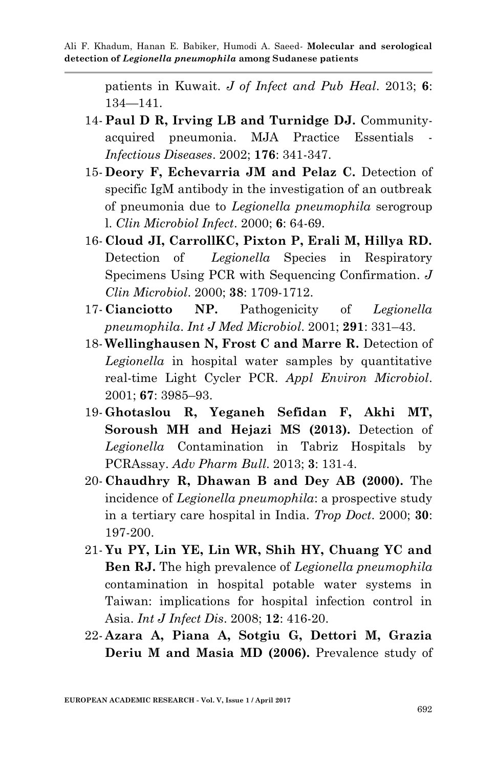patients in Kuwait. *J of Infect and Pub Heal*. 2013; **6**: 134—141.

- 14- **Paul D R, Irving LB and Turnidge DJ.** Communityacquired pneumonia. MJA Practice Essentials *Infectious Diseases*. 2002; **176**: 341-347.
- 15- **Deory F, Echevarria JM and Pelaz C.** Detection of specific IgM antibody in the investigation of an outbreak of pneumonia due to *Legionella pneumophila* serogroup l. *Clin Microbiol Infect*. 2000; **6**: 64-69.
- 16- **Cloud JI, CarrollKC, Pixton P, Erali M, Hillya RD.** Detection of *Legionella* Species in Respiratory Specimens Using PCR with Sequencing Confirmation*. J Clin Microbiol*. 2000; **38**: 1709-1712.
- 17- **Cianciotto NP.** Pathogenicity of *Legionella pneumophila*. *Int J Med Microbiol*. 2001; **291**: 331–43.
- 18- **Wellinghausen N, Frost C and Marre R.** Detection of *Legionella* in hospital water samples by quantitative real-time Light Cycler PCR. *Appl Environ Microbiol*. 2001; **67**: 3985–93.
- 19- **Ghotaslou R, Yeganeh Sefidan F, Akhi MT, Soroush MH and Hejazi MS (2013).** Detection of *Legionella* Contamination in Tabriz Hospitals by PCRAssay. *Adv Pharm Bull*. 2013; **3**: 131-4.
- 20- **Chaudhry R, Dhawan B and Dey AB (2000).** The incidence of *Legionella pneumophila*: a prospective study in a tertiary care hospital in India. *Trop Doct*. 2000; **30**: 197-200.
- 21- **Yu PY, Lin YE, Lin WR, Shih HY, Chuang YC and Ben RJ.** The high prevalence of *Legionella pneumophila* contamination in hospital potable water systems in Taiwan: implications for hospital infection control in Asia. *Int J Infect Dis*. 2008; **12**: 416-20.
- 22- **Azara A, Piana A, Sotgiu G, Dettori M, Grazia Deriu M and Masia MD (2006).** Prevalence study of